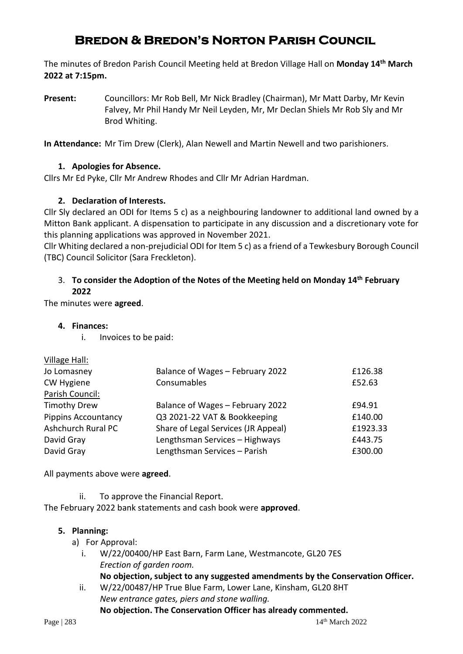# **Bredon & Bredon's Norton Parish Council**

The minutes of Bredon Parish Council Meeting held at Bredon Village Hall on **Monday 14 th March 2022 at 7:15pm.**

**Present:** Councillors: Mr Rob Bell, Mr Nick Bradley (Chairman), Mr Matt Darby, Mr Kevin Falvey, Mr Phil Handy Mr Neil Leyden, Mr, Mr Declan Shiels Mr Rob Sly and Mr Brod Whiting.

**In Attendance:** Mr Tim Drew (Clerk), Alan Newell and Martin Newell and two parishioners.

### **1. Apologies for Absence.**

Cllrs Mr Ed Pyke, Cllr Mr Andrew Rhodes and Cllr Mr Adrian Hardman.

### **2. Declaration of Interests.**

Cllr Sly declared an ODI for Items 5 c) as a neighbouring landowner to additional land owned by a Mitton Bank applicant. A dispensation to participate in any discussion and a discretionary vote for this planning applications was approved in November 2021.

Cllr Whiting declared a non-prejudicial ODI for Item 5 c) as a friend of a Tewkesbury Borough Council (TBC) Council Solicitor (Sara Freckleton).

### 3. **To consider the Adoption of the Notes of the Meeting held on Monday 14th February 2022**

The minutes were **agreed**.

- **4. Finances:**
	- i. Invoices to be paid:

| Balance of Wages - February 2022    | £126.38  |
|-------------------------------------|----------|
| Consumables                         | £52.63   |
|                                     |          |
| Balance of Wages - February 2022    | £94.91   |
| Q3 2021-22 VAT & Bookkeeping        | £140.00  |
| Share of Legal Services (JR Appeal) | £1923.33 |
| Lengthsman Services - Highways      | £443.75  |
| Lengthsman Services - Parish        | £300.00  |
|                                     |          |

All payments above were **agreed**.

ii. To approve the Financial Report.

The February 2022 bank statements and cash book were **approved**.

### **5. Planning:**

- a) For Approval:
	- i. W/22/00400/HP East Barn, Farm Lane, Westmancote, GL20 7ES *Erection of garden room.*
		- **No objection, subject to any suggested amendments by the Conservation Officer.**
	- ii. W/22/00487/HP True Blue Farm, Lower Lane, Kinsham, GL20 8HT *New entrance gates, piers and stone walling.*

#### **No objection. The Conservation Officer has already commented.**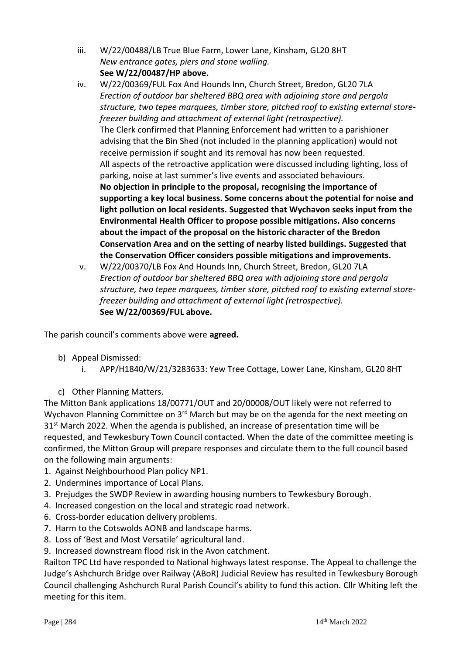- iii. W/22/00488/LB True Blue Farm, Lower Lane, Kinsham, GL20 8HT *New entrance gates, piers and stone walling.* **See W/22/00487/HP above.**
- iv. W/22/00369/FUL Fox And Hounds Inn, Church Street, Bredon, GL20 7LA *Erection of outdoor bar sheltered BBQ area with adjoining store and pergola structure, two tepee marquees, timber store, pitched roof to existing external storefreezer building and attachment of external light (retrospective).* The Clerk confirmed that Planning Enforcement had written to a parishioner advising that the Bin Shed (not included in the planning application) would not receive permission if sought and its removal has now been requested. All aspects of the retroactive application were discussed including lighting, loss of parking, noise at last summer's live events and associated behaviours. **No objection in principle to the proposal, recognising the importance of supporting a key local business. Some concerns about the potential for noise and light pollution on local residents. Suggested that Wychavon seeks input from the Environmental Health Officer to propose possible mitigations. Also concerns about the impact of the proposal on the historic character of the Bredon Conservation Area and on the setting of nearby listed buildings. Suggested that the Conservation Officer considers possible mitigations and improvements.**
- v. W/22/00370/LB Fox And Hounds Inn, Church Street, Bredon, GL20 7LA *Erection of outdoor bar sheltered BBQ area with adjoining store and pergola structure, two tepee marquees, timber store, pitched roof to existing external storefreezer building and attachment of external light (retrospective).* **See W/22/00369/FUL above.**

The parish council's comments above were **agreed.**

- b) Appeal Dismissed:
	- i. APP/H1840/W/21/3283633: Yew Tree Cottage, Lower Lane, Kinsham, GL20 8HT
- c) Other Planning Matters.

The Mitton Bank applications 18/00771/OUT and 20/00008/OUT likely were not referred to Wychavon Planning Committee on 3<sup>rd</sup> March but may be on the agenda for the next meeting on 31<sup>st</sup> March 2022. When the agenda is published, an increase of presentation time will be requested, and Tewkesbury Town Council contacted. When the date of the committee meeting is confirmed, the Mitton Group will prepare responses and circulate them to the full council based on the following main arguments:

- 1. Against Neighbourhood Plan policy NP1.
- 2. Undermines importance of Local Plans.
- 3. Prejudges the SWDP Review in awarding housing numbers to Tewkesbury Borough.
- 4. Increased congestion on the local and strategic road network.
- 6. Cross-border education delivery problems.
- 7. Harm to the Cotswolds AONB and landscape harms.
- 8. Loss of 'Best and Most Versatile' agricultural land.
- 9. Increased downstream flood risk in the Avon catchment.

Railton TPC Ltd have responded to National highways latest response. The Appeal to challenge the Judge's Ashchurch Bridge over Railway (ABoR) Judicial Review has resulted in Tewkesbury Borough Council challenging Ashchurch Rural Parish Council's ability to fund this action. Cllr Whiting left the meeting for this item.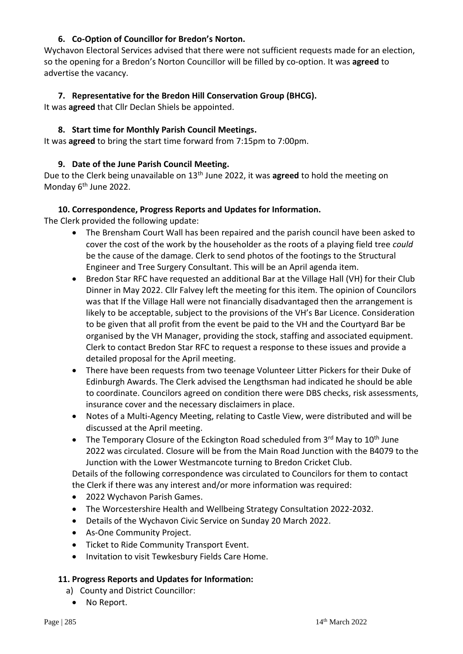# **6. Co-Option of Councillor for Bredon's Norton.**

Wychavon Electoral Services advised that there were not sufficient requests made for an election, so the opening for a Bredon's Norton Councillor will be filled by co-option. It was **agreed** to advertise the vacancy.

## **7. Representative for the Bredon Hill Conservation Group (BHCG).**

It was **agreed** that Cllr Declan Shiels be appointed.

## **8. Start time for Monthly Parish Council Meetings.**

It was **agreed** to bring the start time forward from 7:15pm to 7:00pm.

### **9. Date of the June Parish Council Meeting.**

Due to the Clerk being unavailable on 13th June 2022, it was **agreed** to hold the meeting on Monday 6<sup>th</sup> June 2022.

### **10. Correspondence, Progress Reports and Updates for Information.**

The Clerk provided the following update:

- The Brensham Court Wall has been repaired and the parish council have been asked to cover the cost of the work by the householder as the roots of a playing field tree *could* be the cause of the damage. Clerk to send photos of the footings to the Structural Engineer and Tree Surgery Consultant. This will be an April agenda item.
- Bredon Star RFC have requested an additional Bar at the Village Hall (VH) for their Club Dinner in May 2022. Cllr Falvey left the meeting for this item. The opinion of Councilors was that If the Village Hall were not financially disadvantaged then the arrangement is likely to be acceptable, subject to the provisions of the VH's Bar Licence. Consideration to be given that all profit from the event be paid to the VH and the Courtyard Bar be organised by the VH Manager, providing the stock, staffing and associated equipment. Clerk to contact Bredon Star RFC to request a response to these issues and provide a detailed proposal for the April meeting.
- There have been requests from two teenage Volunteer Litter Pickers for their Duke of Edinburgh Awards. The Clerk advised the Lengthsman had indicated he should be able to coordinate. Councilors agreed on condition there were DBS checks, risk assessments, insurance cover and the necessary disclaimers in place.
- Notes of a Multi-Agency Meeting, relating to Castle View, were distributed and will be discussed at the April meeting.
- The Temporary Closure of the Eckington Road scheduled from  $3<sup>rd</sup>$  May to  $10<sup>th</sup>$  June 2022 was circulated. Closure will be from the Main Road Junction with the B4079 to the Junction with the Lower Westmancote turning to Bredon Cricket Club.

Details of the following correspondence was circulated to Councilors for them to contact the Clerk if there was any interest and/or more information was required:

- 2022 Wychavon Parish Games.
- The Worcestershire Health and Wellbeing Strategy Consultation 2022-2032.
- Details of the Wychavon Civic Service on Sunday 20 March 2022.
- As-One Community Project.
- Ticket to Ride Community Transport Event.
- Invitation to visit Tewkesbury Fields Care Home.

### **11. Progress Reports and Updates for Information:**

- a) County and District Councillor:
	- No Report.